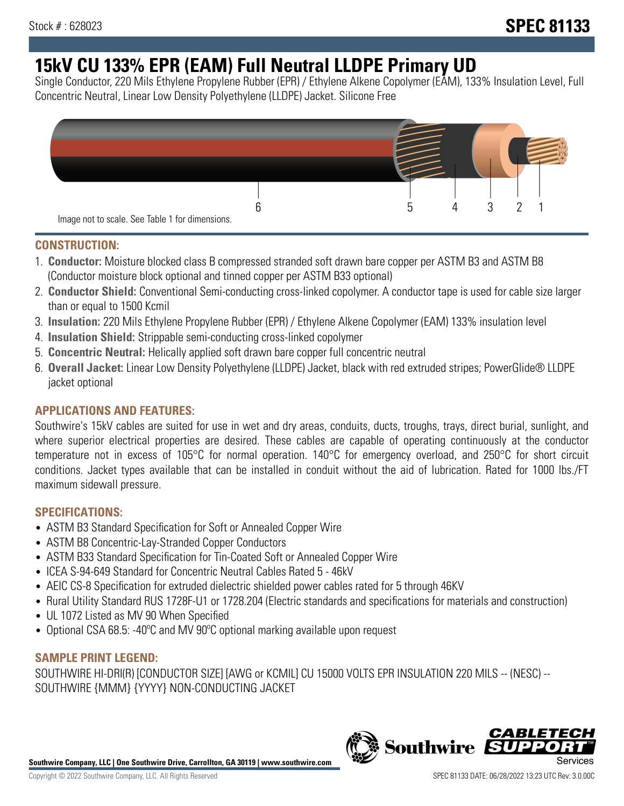# **15kV CU 133% EPR (EAM) Full Neutral LLDPE Primary UD**

Single Conductor, 220 Mils Ethylene Propylene Rubber (EPR) / Ethylene Alkene Copolymer (EAM), 133% Insulation Level, Full Concentric Neutral, Linear Low Density Polyethylene (LLDPE) Jacket. Silicone Free



### **CONSTRUCTION:**

- 1. **Conductor:** Moisture blocked class B compressed stranded soft drawn bare copper per ASTM B3 and ASTM B8 (Conductor moisture block optional and tinned copper per ASTM B33 optional)
- 2. **Conductor Shield:** Conventional Semi-conducting cross-linked copolymer. A conductor tape is used for cable size larger than or equal to 1500 Kcmil
- 3. **Insulation:** 220 Mils Ethylene Propylene Rubber (EPR) / Ethylene Alkene Copolymer (EAM) 133% insulation level
- 4. **Insulation Shield:** Strippable semi-conducting cross-linked copolymer
- 5. **Concentric Neutral:** Helically applied soft drawn bare copper full concentric neutral
- 6. **Overall Jacket:** Linear Low Density Polyethylene (LLDPE) Jacket, black with red extruded stripes; PowerGlide® LLDPE jacket optional

### **APPLICATIONS AND FEATURES:**

Southwire's 15kV cables are suited for use in wet and dry areas, conduits, ducts, troughs, trays, direct burial, sunlight, and where superior electrical properties are desired. These cables are capable of operating continuously at the conductor temperature not in excess of 105°C for normal operation. 140°C for emergency overload, and 250°C for short circuit conditions. Jacket types available that can be installed in conduit without the aid of lubrication. Rated for 1000 lbs./FT maximum sidewall pressure.

### **SPECIFICATIONS:**

- ASTM B3 Standard Specification for Soft or Annealed Copper Wire
- ASTM B8 Concentric-Lay-Stranded Copper Conductors
- ASTM B33 Standard Specification for Tin-Coated Soft or Annealed Copper Wire
- ICEA S-94-649 Standard for Concentric Neutral Cables Rated 5 46kV
- AEIC CS-8 Specification for extruded dielectric shielded power cables rated for 5 through 46KV
- Rural Utility Standard RUS 1728F-U1 or 1728.204 (Electric standards and specifications for materials and construction)
- UL 1072 Listed as MV 90 When Specified
- Optional CSA 68.5: -40°C and MV 90°C optional marking available upon request

### **SAMPLE PRINT LEGEND:**

SOUTHWIRE HI-DRI(R) [CONDUCTOR SIZE] [AWG or KCMIL] CU 15000 VOLTS EPR INSULATION 220 MILS -- (NESC) -- SOUTHWIRE {MMM} {YYYY} NON-CONDUCTING JACKET

**Southwire Company, LLC | One Southwire Drive, Carrollton, GA 30119 | www.southwire.com**